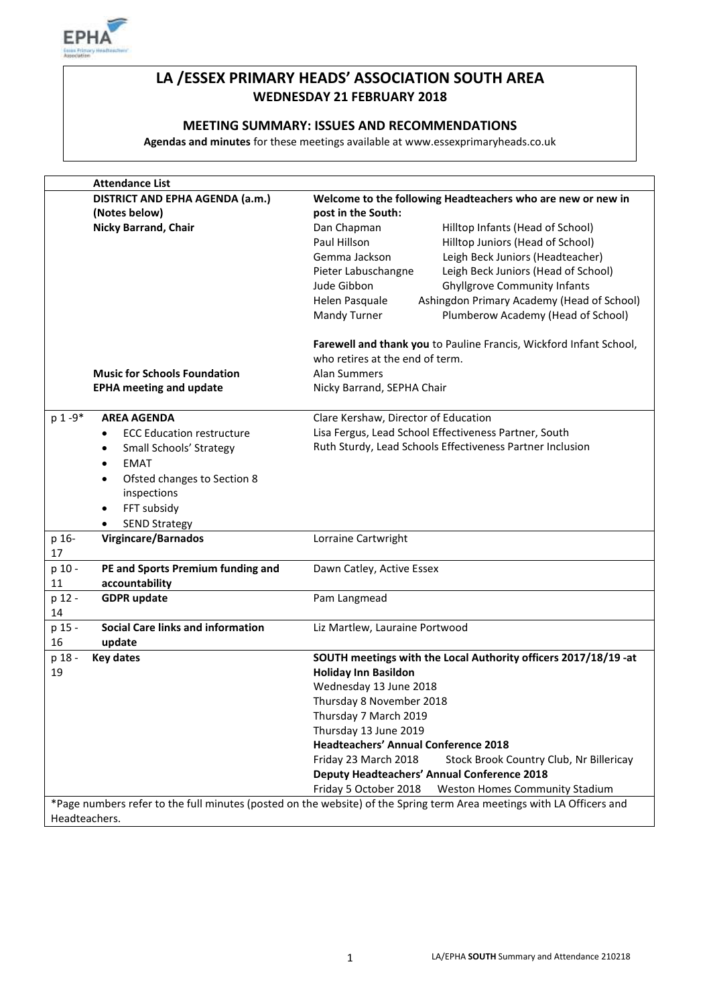

# **LA /ESSEX PRIMARY HEADS' ASSOCIATION SOUTH AREA WEDNESDAY 21 FEBRUARY 2018**

# **MEETING SUMMARY: ISSUES AND RECOMMENDATIONS**

**Agendas and minutes** for these meetings available at www.essexprimaryheads.co.uk

| <b>Attendance List</b>                             |                             |                                                                                                                       |  |
|----------------------------------------------------|-----------------------------|-----------------------------------------------------------------------------------------------------------------------|--|
| DISTRICT AND EPHA AGENDA (a.m.)                    |                             | Welcome to the following Headteachers who are new or new in                                                           |  |
| (Notes below)                                      |                             | post in the South:                                                                                                    |  |
| <b>Nicky Barrand, Chair</b>                        | Dan Chapman                 | Hilltop Infants (Head of School)                                                                                      |  |
|                                                    | Paul Hillson                | Hilltop Juniors (Head of School)                                                                                      |  |
|                                                    | Gemma Jackson               | Leigh Beck Juniors (Headteacher)                                                                                      |  |
|                                                    | Pieter Labuschangne         | Leigh Beck Juniors (Head of School)                                                                                   |  |
|                                                    | Jude Gibbon                 | <b>Ghyllgrove Community Infants</b>                                                                                   |  |
|                                                    | Helen Pasquale              | Ashingdon Primary Academy (Head of School)                                                                            |  |
|                                                    | Mandy Turner                | Plumberow Academy (Head of School)                                                                                    |  |
|                                                    |                             | Farewell and thank you to Pauline Francis, Wickford Infant School,                                                    |  |
|                                                    |                             | who retires at the end of term.                                                                                       |  |
| <b>Music for Schools Foundation</b>                | Alan Summers                |                                                                                                                       |  |
| <b>EPHA meeting and update</b>                     | Nicky Barrand, SEPHA Chair  |                                                                                                                       |  |
|                                                    |                             |                                                                                                                       |  |
| p 1-9*<br><b>AREA AGENDA</b>                       |                             | Clare Kershaw, Director of Education                                                                                  |  |
| <b>ECC Education restructure</b><br>$\bullet$      |                             | Lisa Fergus, Lead School Effectiveness Partner, South                                                                 |  |
| Small Schools' Strategy<br>$\bullet$               |                             | Ruth Sturdy, Lead Schools Effectiveness Partner Inclusion                                                             |  |
| <b>EMAT</b><br>$\bullet$                           |                             |                                                                                                                       |  |
| Ofsted changes to Section 8<br>$\bullet$           |                             |                                                                                                                       |  |
| inspections                                        |                             |                                                                                                                       |  |
| FFT subsidy<br>$\bullet$                           |                             |                                                                                                                       |  |
| <b>SEND Strategy</b><br>$\bullet$                  |                             |                                                                                                                       |  |
| <b>Virgincare/Barnados</b><br>p 16-                | Lorraine Cartwright         |                                                                                                                       |  |
| 17                                                 |                             |                                                                                                                       |  |
| PE and Sports Premium funding and<br>p 10 -        | Dawn Catley, Active Essex   |                                                                                                                       |  |
| accountability<br>11                               |                             |                                                                                                                       |  |
| p 12 -<br><b>GDPR</b> update                       | Pam Langmead                |                                                                                                                       |  |
| 14                                                 |                             |                                                                                                                       |  |
| <b>Social Care links and information</b><br>p 15 - |                             | Liz Martlew, Lauraine Portwood                                                                                        |  |
| 16<br>update                                       |                             |                                                                                                                       |  |
| p 18 -<br><b>Key dates</b>                         |                             | SOUTH meetings with the Local Authority officers 2017/18/19 -at                                                       |  |
| 19                                                 | <b>Holiday Inn Basildon</b> |                                                                                                                       |  |
|                                                    | Wednesday 13 June 2018      |                                                                                                                       |  |
|                                                    | Thursday 8 November 2018    |                                                                                                                       |  |
|                                                    | Thursday 7 March 2019       |                                                                                                                       |  |
|                                                    | Thursday 13 June 2019       |                                                                                                                       |  |
|                                                    |                             | <b>Headteachers' Annual Conference 2018</b>                                                                           |  |
|                                                    | Friday 23 March 2018        | Stock Brook Country Club, Nr Billericay                                                                               |  |
|                                                    |                             | <b>Deputy Headteachers' Annual Conference 2018</b>                                                                    |  |
|                                                    | Friday 5 October 2018       | Weston Homes Community Stadium                                                                                        |  |
|                                                    |                             | *Page numbers refer to the full minutes (posted on the website) of the Spring term Area meetings with LA Officers and |  |
| Headteachers.                                      |                             |                                                                                                                       |  |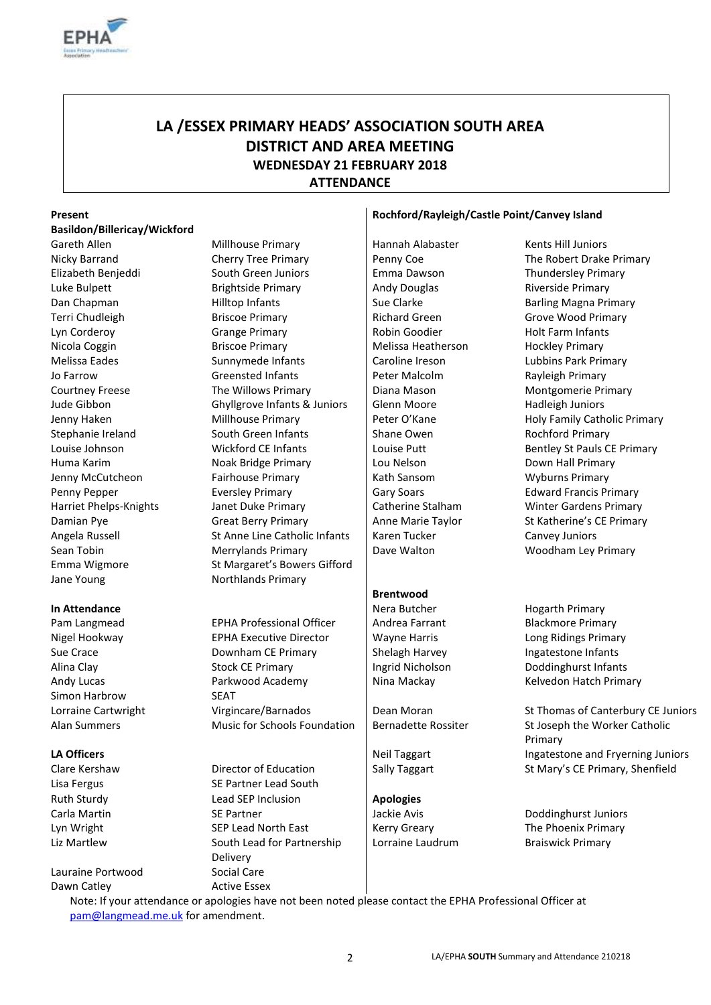

# **LA /ESSEX PRIMARY HEADS' ASSOCIATION SOUTH AREA DISTRICT AND AREA MEETING WEDNESDAY 21 FEBRUARY 2018 ATTENDANCE**

# **Basildon/Billericay/Wickford**

Jane Young Northlands Primary

Andy Lucas Simon Harbrow

Lauraine Portwood Social Care Dawn Catley **Active Essex** 

Gareth Allen Millhouse Primary Hannah Alabaster Kents Hill Juniors (Gareth Allen Nicky Barrand **Cherry Tree Primary** Penny Coe The Robert Drake Primary Elizabeth Benjeddi South Green Juniors Emma Dawson Thundersley Primary Luke Bulpett **Brightside Primary** Andy Douglas Riverside Primary Riverside Primary Dan Chapman **Example 2** Hilltop Infants Sue Clarke Barling Magna Primary Terri Chudleigh Briscoe Primary Richard Green Grove Wood Primary Lyn Corderoy **Grange Primary Community** Robin Goodier Holt Farm Infants Nicola Coggin **Briscoe Primary** Melissa Heatherson Hockley Primary Melissa Eades **Sunnymede Infants** Caroline Ireson Lubbins Park Primary Jo Farrow **Greensted Infants** Peter Malcolm **Rayleigh Primary**<br>
Courtney Freese **Primary** Diana Mason Montgomerie Primary The Willows Primary **Fraud Access** | Diana Mason **Montgomerie Primary** Montgomerie Primary Jude Gibbon Ghyllgrove Infants & Juniors Glenn Moore Hadleigh Juniors Jenny Haken Millhouse Primary Peter O'Kane Holy Family Catholic Primary Stephanie Ireland South Green Infants Shane Owen Rochford Primary Louise Johnson **Wickford CE Infants** | Louise Putt Bentley St Pauls CE Primary Huma Karim **Noak Bridge Primary Lou Nelson** Down Hall Primary Jenny McCutcheon Fairhouse Primary Fairhouse Primary Research Library Research Wyburns Primary Penny Pepper **Eversley Primary Community** Gary Soars Edward Francis Primary Harriet Phelps-Knights Janet Duke Primary Catherine Stalham Winter Gardens Primary Damian Pye **Great Berry Primary** Anne Marie Taylor St Katherine's CE Primary Angela Russell St Anne Line Catholic Infants | Karen Tucker Canvey Juniors Sean Tobin **Merrylands Primary** Dave Walton **Dave Woodham Ley Primary** Dave Walton Emma Wigmore St Margaret's Bowers Gifford

Pam Langmead **EPHA Professional Officer** Andrea Farrant Blackmore Primary Nigel Hookway **EPHA Executive Director** Wayne Harris Long Ridings Primary Sue Crace **Shelagh Harvey** Downham CE Primary Shelagh Harvey **Ingatestone Infants** Alina Clay Stock CE Primary Ingrid Nicholson Doddinghurst Infants Parkwood Academy **SEAT** 

Lisa Fergus SE Partner Lead South Ruth Sturdy **Apologies** Lead SEP Inclusion **Apologies** Carla Martin **SE Partner** SE Partner Jackie Avis Doddinghurst Juniors Lyn Wright SEP Lead North East Kerry Greary The Phoenix Primary Liz Martlew South Lead for Partnership Delivery

### **Present Rochford/Rayleigh/Castle Point/Canvey Island**

# **Brentwood**

**In Attendance Network Communist Communist Communist Communist Communist Communist Communist Communist Communist Communist Communist Communist Communist Communist Communist Communist Communist Communist Communist Communi** Nina Mackay **Kelvedon Hatch Primary** 

Lorraine Cartwright Virgincare/Barnados Dean Moran St Thomas of Canterbury CE Juniors Alan Summers Music for Schools Foundation | Bernadette Rossiter St Joseph the Worker Catholic Primary **LA Officers LA Officers Network Integrates Industrial Industrial Industrial Industrial Industrial Industrial Industrial Industrial Industrial Industrial Industrial Industrial Industrial Industrial Industrial Industr** Clare Kershaw **Director of Education** Sally Taggart St Mary's CE Primary, Shenfield

Lorraine Laudrum Braiswick Primary

Note: If your attendance or apologies have not been noted please contact the EPHA Professional Officer at [pam@langmead.me.uk](mailto:pam@langmead.me.uk) for amendment.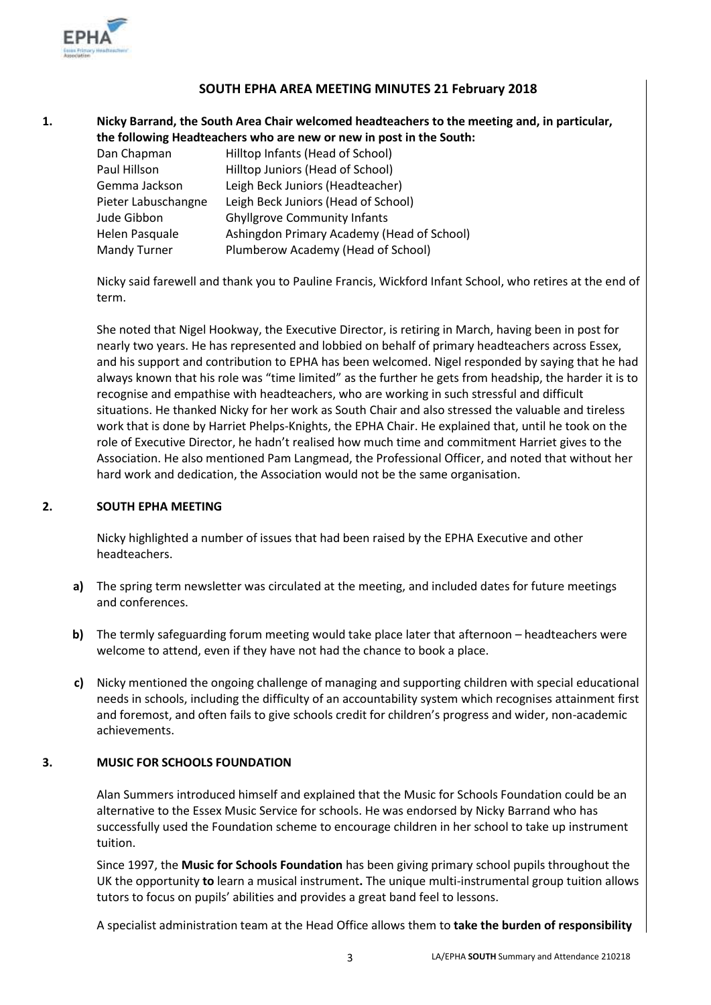

# **SOUTH EPHA AREA MEETING MINUTES 21 February 2018**

**1. Nicky Barrand, the South Area Chair welcomed headteachers to the meeting and, in particular, the following Headteachers who are new or new in post in the South:**

| Dan Chapman         | Hilltop Infants (Head of School)           |
|---------------------|--------------------------------------------|
| Paul Hillson        | Hilltop Juniors (Head of School)           |
| Gemma Jackson       | Leigh Beck Juniors (Headteacher)           |
| Pieter Labuschangne | Leigh Beck Juniors (Head of School)        |
| Jude Gibbon         | <b>Ghyllgrove Community Infants</b>        |
| Helen Pasquale      | Ashingdon Primary Academy (Head of School) |
| Mandy Turner        | Plumberow Academy (Head of School)         |

Nicky said farewell and thank you to Pauline Francis, Wickford Infant School, who retires at the end of term.

She noted that Nigel Hookway, the Executive Director, is retiring in March, having been in post for nearly two years. He has represented and lobbied on behalf of primary headteachers across Essex, and his support and contribution to EPHA has been welcomed. Nigel responded by saying that he had always known that his role was "time limited" as the further he gets from headship, the harder it is to recognise and empathise with headteachers, who are working in such stressful and difficult situations. He thanked Nicky for her work as South Chair and also stressed the valuable and tireless work that is done by Harriet Phelps-Knights, the EPHA Chair. He explained that, until he took on the role of Executive Director, he hadn't realised how much time and commitment Harriet gives to the Association. He also mentioned Pam Langmead, the Professional Officer, and noted that without her hard work and dedication, the Association would not be the same organisation.

#### **2. SOUTH EPHA MEETING**

Nicky highlighted a number of issues that had been raised by the EPHA Executive and other headteachers.

- **a)** The spring term newsletter was circulated at the meeting, and included dates for future meetings and conferences.
- **b)** The termly safeguarding forum meeting would take place later that afternoon headteachers were welcome to attend, even if they have not had the chance to book a place.
- **c)** Nicky mentioned the ongoing challenge of managing and supporting children with special educational needs in schools, including the difficulty of an accountability system which recognises attainment first and foremost, and often fails to give schools credit for children's progress and wider, non-academic achievements.

# **3. MUSIC FOR SCHOOLS FOUNDATION**

Alan Summers introduced himself and explained that the Music for Schools Foundation could be an alternative to the Essex Music Service for schools. He was endorsed by Nicky Barrand who has successfully used the Foundation scheme to encourage children in her school to take up instrument tuition.

Since 1997, the **Music for Schools Foundation** has been giving primary school pupils throughout the UK the opportunity **to** learn a musical instrument**.** The unique multi-instrumental group tuition allows tutors to focus on pupils' abilities and provides a great band feel to lessons.

A specialist administration team at the Head Office allows them to **take the burden of responsibility**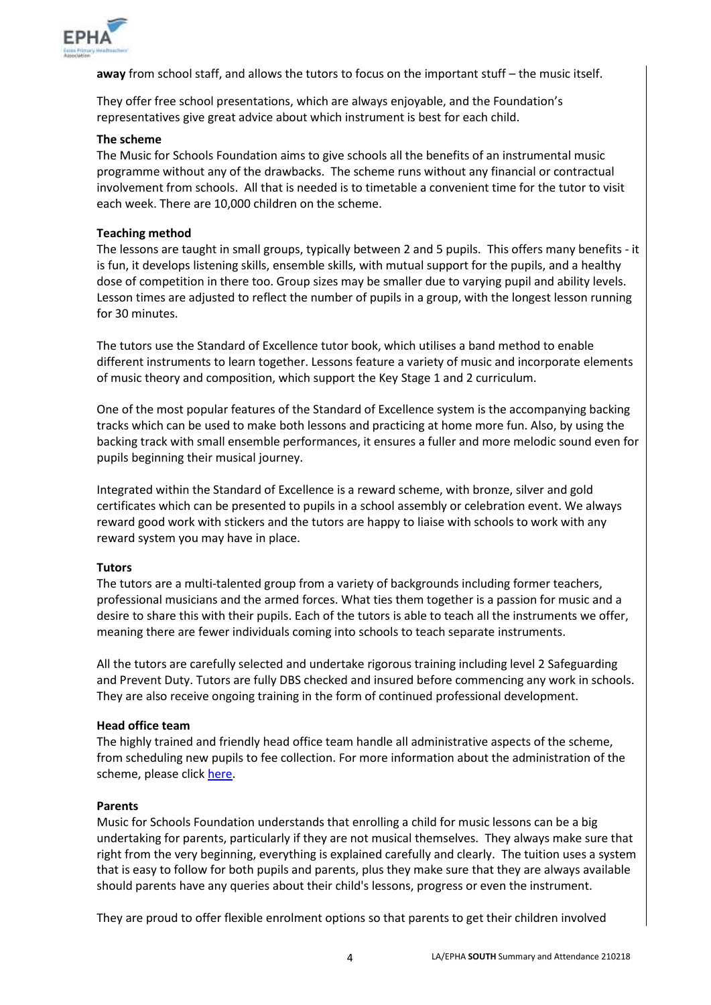

**away** from school staff, and allows the tutors to focus on the important stuff – the music itself.

They offer free school presentations, which are always enjoyable, and the Foundation's representatives give great advice about which instrument is best for each child.

## **The scheme**

The Music for Schools Foundation aims to give schools all the benefits of an instrumental music programme without any of the drawbacks. The scheme runs without any financial or contractual involvement from schools. All that is needed is to timetable a convenient time for the tutor to visit each week. There are 10,000 children on the scheme.

## **Teaching method**

The lessons are taught in small groups, typically between 2 and 5 pupils. This offers many benefits - it is fun, it develops listening skills, ensemble skills, with mutual support for the pupils, and a healthy dose of competition in there too. Group sizes may be smaller due to varying pupil and ability levels. Lesson times are adjusted to reflect the number of pupils in a group, with the longest lesson running for 30 minutes.

The tutors use the Standard of Excellence tutor book, which utilises a band method to enable different instruments to learn together. Lessons feature a variety of music and incorporate elements of music theory and composition, which support the Key Stage 1 and 2 curriculum.

One of the most popular features of the Standard of Excellence system is the accompanying backing tracks which can be used to make both lessons and practicing at home more fun. Also, by using the backing track with small ensemble performances, it ensures a fuller and more melodic sound even for pupils beginning their musical journey.

Integrated within the Standard of Excellence is a reward scheme, with bronze, silver and gold certificates which can be presented to pupils in a school assembly or celebration event. We always reward good work with stickers and the tutors are happy to liaise with schools to work with any reward system you may have in place.

# **Tutors**

The tutors are a multi-talented group from a variety of backgrounds including former teachers, professional musicians and the armed forces. What ties them together is a passion for music and a desire to share this with their pupils. Each of the tutors is able to teach all the instruments we offer, meaning there are fewer individuals coming into schools to teach separate instruments.

All the tutors are carefully selected and undertake rigorous training including level 2 Safeguarding and Prevent Duty. Tutors are fully DBS checked and insured before commencing any work in schools. They are also receive ongoing training in the form of continued professional development.

# **Head office team**

The highly trained and friendly head office team handle all administrative aspects of the scheme, from scheduling new pupils to fee collection. For more information about the administration of the scheme, please click [here.](https://www.mfsf.org.uk/administration)

# **Parents**

Music for Schools Foundation understands that enrolling a child for music lessons can be a big undertaking for parents, particularly if they are not musical themselves. They always make sure that right from the very beginning, everything is explained carefully and clearly. The tuition uses a system that is easy to follow for both pupils and parents, plus they make sure that they are always available should parents have any queries about their child's lessons, progress or even the instrument.

They are proud to offer flexible enrolment options so that parents to get their children involved